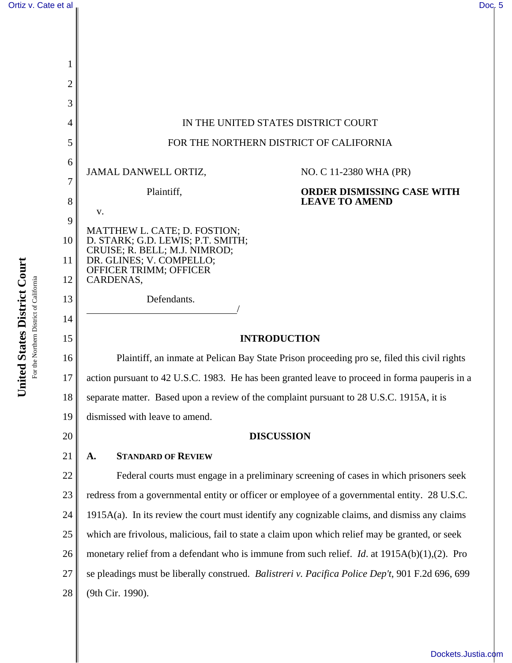

[Dockets.Justia.com](http://dockets.justia.com/)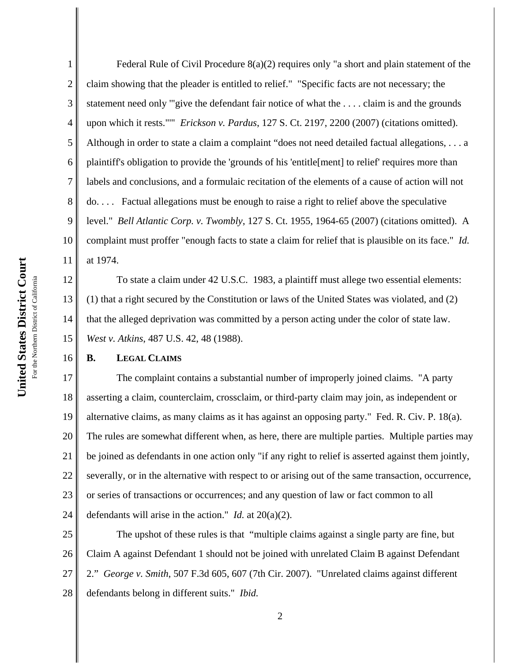16

1 2 3 4 5 6 7 8 9 10 11 Federal Rule of Civil Procedure 8(a)(2) requires only "a short and plain statement of the claim showing that the pleader is entitled to relief." "Specific facts are not necessary; the statement need only '"give the defendant fair notice of what the . . . . claim is and the grounds upon which it rests."'" *Erickson v. Pardus*, 127 S. Ct. 2197, 2200 (2007) (citations omitted). Although in order to state a claim a complaint "does not need detailed factual allegations, . . . a plaintiff's obligation to provide the 'grounds of his 'entitle[ment] to relief' requires more than labels and conclusions, and a formulaic recitation of the elements of a cause of action will not do. . . . Factual allegations must be enough to raise a right to relief above the speculative level." *Bell Atlantic Corp. v. Twombly*, 127 S. Ct. 1955, 1964-65 (2007) (citations omitted). A complaint must proffer "enough facts to state a claim for relief that is plausible on its face." *Id.* at 1974.

12 13 14 15 To state a claim under 42 U.S.C. 1983, a plaintiff must allege two essential elements: (1) that a right secured by the Constitution or laws of the United States was violated, and (2) that the alleged deprivation was committed by a person acting under the color of state law. *West v. Atkins*, 487 U.S. 42, 48 (1988).

## **B. LEGAL CLAIMS**

17 18 19 20 21 22 23 24 The complaint contains a substantial number of improperly joined claims. "A party asserting a claim, counterclaim, crossclaim, or third-party claim may join, as independent or alternative claims, as many claims as it has against an opposing party." Fed. R. Civ. P. 18(a). The rules are somewhat different when, as here, there are multiple parties. Multiple parties may be joined as defendants in one action only "if any right to relief is asserted against them jointly, severally, or in the alternative with respect to or arising out of the same transaction, occurrence, or series of transactions or occurrences; and any question of law or fact common to all defendants will arise in the action." *Id.* at 20(a)(2).

25 26 27 28 The upshot of these rules is that "multiple claims against a single party are fine, but Claim A against Defendant 1 should not be joined with unrelated Claim B against Defendant 2." *George v. Smith*, 507 F.3d 605, 607 (7th Cir. 2007). "Unrelated claims against different defendants belong in different suits." *Ibid.*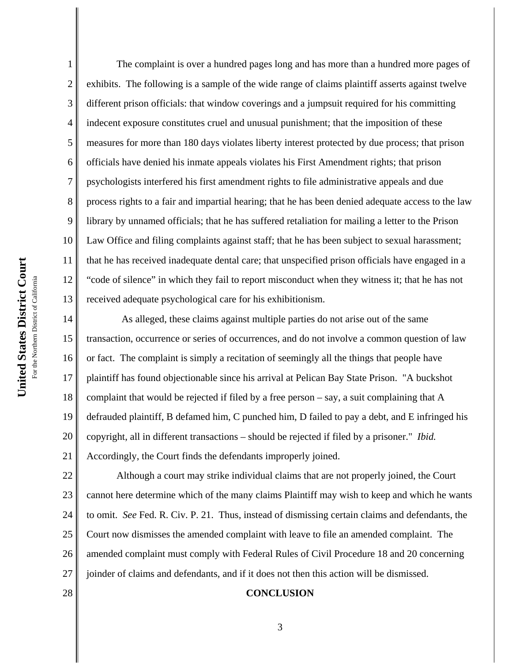4 5 6 7 8 9 10 11 United States District Court **United States District Court** 12 For the Northern District of California For the Northern District of California 13 14 15 16

1

2 3 The complaint is over a hundred pages long and has more than a hundred more pages of exhibits. The following is a sample of the wide range of claims plaintiff asserts against twelve different prison officials: that window coverings and a jumpsuit required for his committing indecent exposure constitutes cruel and unusual punishment; that the imposition of these measures for more than 180 days violates liberty interest protected by due process; that prison officials have denied his inmate appeals violates his First Amendment rights; that prison psychologists interfered his first amendment rights to file administrative appeals and due process rights to a fair and impartial hearing; that he has been denied adequate access to the law library by unnamed officials; that he has suffered retaliation for mailing a letter to the Prison Law Office and filing complaints against staff; that he has been subject to sexual harassment; that he has received inadequate dental care; that unspecified prison officials have engaged in a "code of silence" in which they fail to report misconduct when they witness it; that he has not received adequate psychological care for his exhibitionism.

17 18 19 20 21 As alleged, these claims against multiple parties do not arise out of the same transaction, occurrence or series of occurrences, and do not involve a common question of law or fact. The complaint is simply a recitation of seemingly all the things that people have plaintiff has found objectionable since his arrival at Pelican Bay State Prison. "A buckshot complaint that would be rejected if filed by a free person – say, a suit complaining that A defrauded plaintiff, B defamed him, C punched him, D failed to pay a debt, and E infringed his copyright, all in different transactions – should be rejected if filed by a prisoner." *Ibid.* Accordingly, the Court finds the defendants improperly joined.

22 23 24 25 26 27 Although a court may strike individual claims that are not properly joined, the Court cannot here determine which of the many claims Plaintiff may wish to keep and which he wants to omit. *See* Fed. R. Civ. P. 21. Thus, instead of dismissing certain claims and defendants, the Court now dismisses the amended complaint with leave to file an amended complaint. The amended complaint must comply with Federal Rules of Civil Procedure 18 and 20 concerning joinder of claims and defendants, and if it does not then this action will be dismissed.

28

## **CONCLUSION**